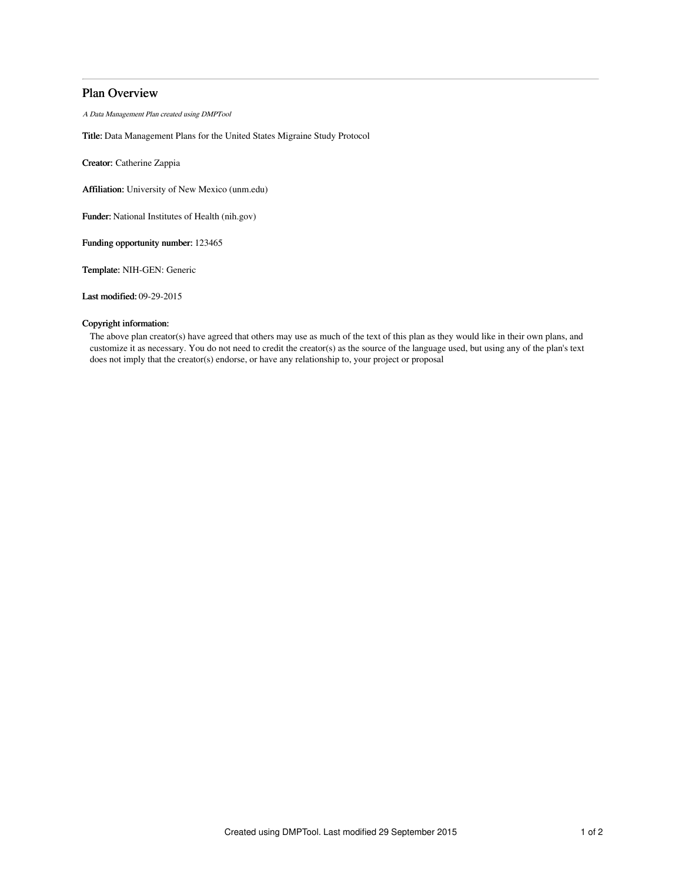# Plan Overview

A Data Management Plan created using DMPTool

Title: Data Management Plans for the United States Migraine Study Protocol

Creator: Catherine Zappia

Affiliation: University of New Mexico (unm.edu)

Funder: National Institutes of Health (nih.gov)

Funding opportunity number: 123465

Template: NIH-GEN: Generic

Last modified: 09-29-2015

## Copyright information:

The above plan creator(s) have agreed that others may use as much of the text of this plan as they would like in their own plans, and customize it as necessary. You do not need to credit the creator(s) as the source of the language used, but using any of the plan's text does not imply that the creator(s) endorse, or have any relationship to, your project or proposal